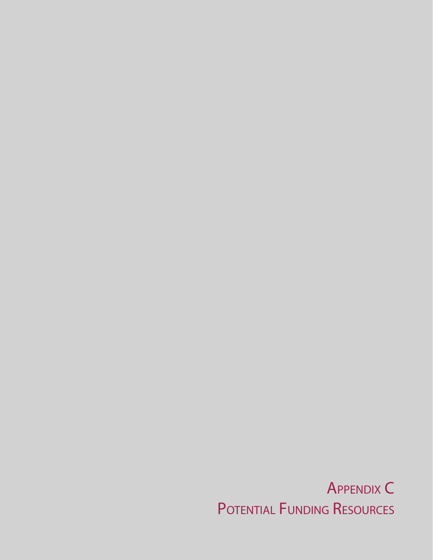Appendix C POTENTIAL FUNDING RESOURCES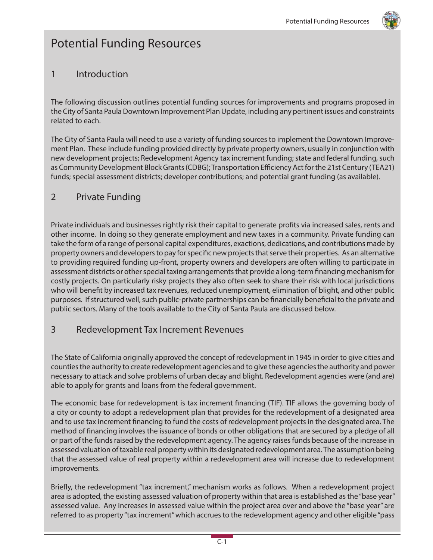

# Potential Funding Resources

#### 1 Introduction

The following discussion outlines potential funding sources for improvements and programs proposed in the City of Santa Paula Downtown Improvement Plan Update, including any pertinent issues and constraints related to each.

The City of Santa Paula will need to use a variety of funding sources to implement the Downtown Improvement Plan. These include funding provided directly by private property owners, usually in conjunction with new development projects; Redevelopment Agency tax increment funding; state and federal funding, such as Community Development Block Grants (CDBG); Transportation Efficiency Act for the 21st Century (TEA21) funds; special assessment districts; developer contributions; and potential grant funding (as available).

### 2 Private Funding

Private individuals and businesses rightly risk their capital to generate profits via increased sales, rents and other income. In doing so they generate employment and new taxes in a community. Private funding can take the form of a range of personal capital expenditures, exactions, dedications, and contributions made by property owners and developers to pay for specific new projects that serve their properties. As an alternative to providing required funding up-front, property owners and developers are often willing to participate in assessment districts or other special taxing arrangements that provide a long-term financing mechanism for costly projects. On particularly risky projects they also often seek to share their risk with local jurisdictions who will benefit by increased tax revenues, reduced unemployment, elimination of blight, and other public purposes. If structured well, such public-private partnerships can be financially beneficial to the private and public sectors. Many of the tools available to the City of Santa Paula are discussed below.

#### 3 Redevelopment Tax Increment Revenues

The State of California originally approved the concept of redevelopment in 1945 in order to give cities and counties the authority to create redevelopment agencies and to give these agencies the authority and power necessary to attack and solve problems of urban decay and blight. Redevelopment agencies were (and are) able to apply for grants and loans from the federal government.

The economic base for redevelopment is tax increment financing (TIF). TIF allows the governing body of a city or county to adopt a redevelopment plan that provides for the redevelopment of a designated area and to use tax increment financing to fund the costs of redevelopment projects in the designated area. The method of financing involves the issuance of bonds or other obligations that are secured by a pledge of all or part of the funds raised by the redevelopment agency. The agency raises funds because of the increase in assessed valuation of taxable real property within its designated redevelopment area. The assumption being that the assessed value of real property within a redevelopment area will increase due to redevelopment improvements.

Briefly, the redevelopment "tax increment," mechanism works as follows. When a redevelopment project area is adopted, the existing assessed valuation of property within that area is established as the "base year" assessed value. Any increases in assessed value within the project area over and above the "base year" are referred to as property "tax increment" which accrues to the redevelopment agency and other eligible "pass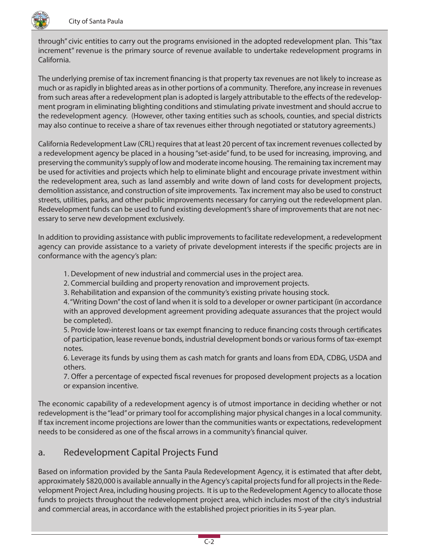

through" civic entities to carry out the programs envisioned in the adopted redevelopment plan. This "tax increment" revenue is the primary source of revenue available to undertake redevelopment programs in California.

The underlying premise of tax increment financing is that property tax revenues are not likely to increase as much or as rapidly in blighted areas as in other portions of a community. Therefore, any increase in revenues from such areas after a redevelopment plan is adopted is largely attributable to the effects of the redevelopment program in eliminating blighting conditions and stimulating private investment and should accrue to the redevelopment agency. (However, other taxing entities such as schools, counties, and special districts may also continue to receive a share of tax revenues either through negotiated or statutory agreements.)

California Redevelopment Law (CRL) requires that at least 20 percent of tax increment revenues collected by a redevelopment agency be placed in a housing "set-aside" fund, to be used for increasing, improving, and preserving the community's supply of low and moderate income housing. The remaining tax increment may be used for activities and projects which help to eliminate blight and encourage private investment within the redevelopment area, such as land assembly and write down of land costs for development projects, demolition assistance, and construction of site improvements. Tax increment may also be used to construct streets, utilities, parks, and other public improvements necessary for carrying out the redevelopment plan. Redevelopment funds can be used to fund existing development's share of improvements that are not necessary to serve new development exclusively.

In addition to providing assistance with public improvements to facilitate redevelopment, a redevelopment agency can provide assistance to a variety of private development interests if the specific projects are in conformance with the agency's plan:

- 1. Development of new industrial and commercial uses in the project area.
- 2. Commercial building and property renovation and improvement projects.
- 3. Rehabilitation and expansion of the community's existing private housing stock.

4. "Writing Down" the cost of land when it is sold to a developer or owner participant (in accordance with an approved development agreement providing adequate assurances that the project would be completed).

5. Provide low-interest loans or tax exempt financing to reduce financing costs through certificates of participation, lease revenue bonds, industrial development bonds or various forms of tax-exempt notes.

6. Leverage its funds by using them as cash match for grants and loans from EDA, CDBG, USDA and others.

7. Offer a percentage of expected fiscal revenues for proposed development projects as a location or expansion incentive.

The economic capability of a redevelopment agency is of utmost importance in deciding whether or not redevelopment is the "lead" or primary tool for accomplishing major physical changes in a local community. If tax increment income projections are lower than the communities wants or expectations, redevelopment needs to be considered as one of the fiscal arrows in a community's financial quiver.

#### a. Redevelopment Capital Projects Fund

Based on information provided by the Santa Paula Redevelopment Agency, it is estimated that after debt, approximately \$820,000 is available annually in the Agency's capital projects fund for all projects in the Redevelopment Project Area, including housing projects. It is up to the Redevelopment Agency to allocate those funds to projects throughout the redevelopment project area, which includes most of the city's industrial and commercial areas, in accordance with the established project priorities in its 5-year plan.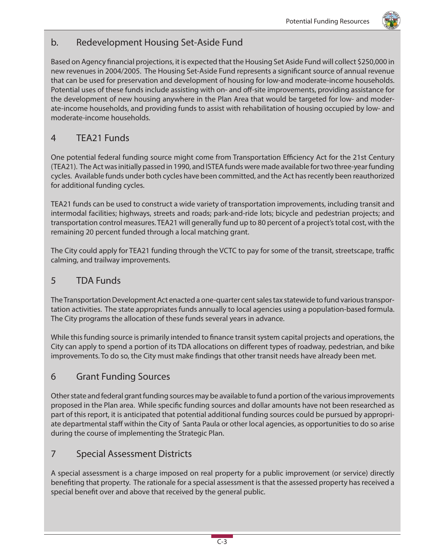

#### b. Redevelopment Housing Set-Aside Fund

Based on Agency financial projections, it is expected that the Housing Set Aside Fund will collect \$250,000 in new revenues in 2004/2005. The Housing Set-Aside Fund represents a significant source of annual revenue that can be used for preservation and development of housing for low-and moderate-income households. Potential uses of these funds include assisting with on- and off-site improvements, providing assistance for the development of new housing anywhere in the Plan Area that would be targeted for low- and moderate-income households, and providing funds to assist with rehabilitation of housing occupied by low- and moderate-income households.

## 4 TEA21 Funds

One potential federal funding source might come from Transportation Efficiency Act for the 21st Century (TEA21). The Act was initially passed in 1990, and ISTEA funds were made available for two three-year funding cycles. Available funds under both cycles have been committed, and the Act has recently been reauthorized for additional funding cycles.

TEA21 funds can be used to construct a wide variety of transportation improvements, including transit and intermodal facilities; highways, streets and roads; park-and-ride lots; bicycle and pedestrian projects; and transportation control measures. TEA21 will generally fund up to 80 percent of a project's total cost, with the remaining 20 percent funded through a local matching grant.

The City could apply for TEA21 funding through the VCTC to pay for some of the transit, streetscape, traffic calming, and trailway improvements.

### 5 TDA Funds

The Transportation Development Act enacted a one-quarter cent sales tax statewide to fund various transportation activities. The state appropriates funds annually to local agencies using a population-based formula. The City programs the allocation of these funds several years in advance.

While this funding source is primarily intended to finance transit system capital projects and operations, the City can apply to spend a portion of its TDA allocations on different types of roadway, pedestrian, and bike improvements. To do so, the City must make findings that other transit needs have already been met.

## 6 Grant Funding Sources

Other state and federal grant funding sources may be available to fund a portion of the various improvements proposed in the Plan area. While specific funding sources and dollar amounts have not been researched as part of this report, it is anticipated that potential additional funding sources could be pursued by appropriate departmental staff within the City of Santa Paula or other local agencies, as opportunities to do so arise during the course of implementing the Strategic Plan.

## 7 Special Assessment Districts

A special assessment is a charge imposed on real property for a public improvement (or service) directly benefiting that property. The rationale for a special assessment is that the assessed property has received a special benefit over and above that received by the general public.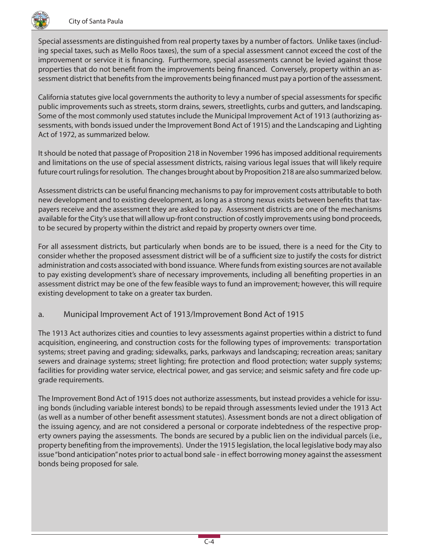

Special assessments are distinguished from real property taxes by a number of factors. Unlike taxes (including special taxes, such as Mello Roos taxes), the sum of a special assessment cannot exceed the cost of the improvement or service it is financing. Furthermore, special assessments cannot be levied against those properties that do not benefit from the improvements being financed. Conversely, property within an assessment district that benefits from the improvements being financed must pay a portion of the assessment.

California statutes give local governments the authority to levy a number of special assessments for specific public improvements such as streets, storm drains, sewers, streetlights, curbs and gutters, and landscaping. Some of the most commonly used statutes include the Municipal Improvement Act of 1913 (authorizing assessments, with bonds issued under the Improvement Bond Act of 1915) and the Landscaping and Lighting Act of 1972, as summarized below.

It should be noted that passage of Proposition 218 in November 1996 has imposed additional requirements and limitations on the use of special assessment districts, raising various legal issues that will likely require future court rulings for resolution. The changes brought about by Proposition 218 are also summarized below.

Assessment districts can be useful financing mechanisms to pay for improvement costs attributable to both new development and to existing development, as long as a strong nexus exists between benefits that taxpayers receive and the assessment they are asked to pay. Assessment districts are one of the mechanisms available for the City's use that will allow up-front construction of costly improvements using bond proceeds, to be secured by property within the district and repaid by property owners over time.

For all assessment districts, but particularly when bonds are to be issued, there is a need for the City to consider whether the proposed assessment district will be of a sufficient size to justify the costs for district administration and costs associated with bond issuance. Where funds from existing sources are not available to pay existing development's share of necessary improvements, including all benefiting properties in an assessment district may be one of the few feasible ways to fund an improvement; however, this will require existing development to take on a greater tax burden.

#### a. Municipal Improvement Act of 1913/Improvement Bond Act of 1915

The 1913 Act authorizes cities and counties to levy assessments against properties within a district to fund acquisition, engineering, and construction costs for the following types of improvements: transportation systems; street paving and grading; sidewalks, parks, parkways and landscaping; recreation areas; sanitary sewers and drainage systems; street lighting; fire protection and flood protection; water supply systems; facilities for providing water service, electrical power, and gas service; and seismic safety and fire code upgrade requirements.

The Improvement Bond Act of 1915 does not authorize assessments, but instead provides a vehicle for issuing bonds (including variable interest bonds) to be repaid through assessments levied under the 1913 Act (as well as a number of other benefit assessment statutes). Assessment bonds are not a direct obligation of the issuing agency, and are not considered a personal or corporate indebtedness of the respective property owners paying the assessments. The bonds are secured by a public lien on the individual parcels (i.e., property benefiting from the improvements). Under the 1915 legislation, the local legislative body may also issue "bond anticipation" notes prior to actual bond sale - in effect borrowing money against the assessment bonds being proposed for sale.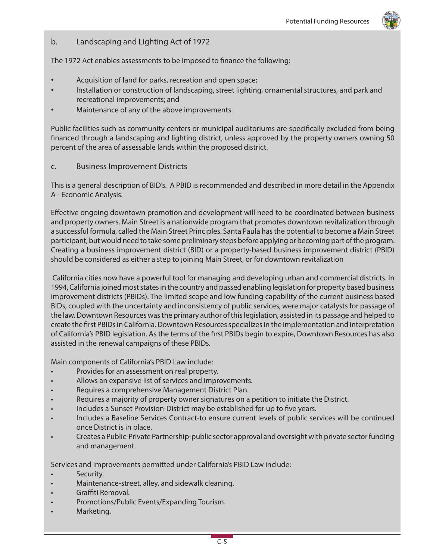#### b. Landscaping and Lighting Act of 1972

The 1972 Act enables assessments to be imposed to finance the following:

- Acquisition of land for parks, recreation and open space;
- Installation or construction of landscaping, street lighting, ornamental structures, and park and recreational improvements; and
- Maintenance of any of the above improvements.

Public facilities such as community centers or municipal auditoriums are specifically excluded from being financed through a landscaping and lighting district, unless approved by the property owners owning 50 percent of the area of assessable lands within the proposed district.

c. Business Improvement Districts

This is a general description of BID's. A PBID is recommended and described in more detail in the Appendix A - Economic Analysis.

Effective ongoing downtown promotion and development will need to be coordinated between business and property owners. Main Street is a nationwide program that promotes downtown revitalization through a successful formula, called the Main Street Principles. Santa Paula has the potential to become a Main Street participant, but would need to take some preliminary steps before applying or becoming part of the program. Creating a business improvement district (BID) or a property-based business improvement district (PBID) should be considered as either a step to joining Main Street, or for downtown revitalization

 California cities now have a powerful tool for managing and developing urban and commercial districts. In 1994, California joined most states in the country and passed enabling legislation for property based business improvement districts (PBIDs). The limited scope and low funding capability of the current business based BIDs, coupled with the uncertainty and inconsistency of public services, were major catalysts for passage of the law. Downtown Resources was the primary author of this legislation, assisted in its passage and helped to create the first PBIDs in California. Downtown Resources specializes in the implementation and interpretation of California's PBID legislation. As the terms of the first PBIDs begin to expire, Downtown Resources has also assisted in the renewal campaigns of these PBIDs.

Main components of California's PBID Law include:

- Provides for an assessment on real property.
- Allows an expansive list of services and improvements.
- Requires a comprehensive Management District Plan.
- Requires a majority of property owner signatures on a petition to initiate the District.
- Includes a Sunset Provision-District may be established for up to five years.
- Includes a Baseline Services Contract-to ensure current levels of public services will be continued once District is in place.
- Creates a Public-Private Partnership-public sector approval and oversight with private sector funding and management.

Services and improvements permitted under California's PBID Law include:

- Security.
- Maintenance-street, alley, and sidewalk cleaning.
- Graffiti Removal.
- Promotions/Public Events/Expanding Tourism.
- Marketing.